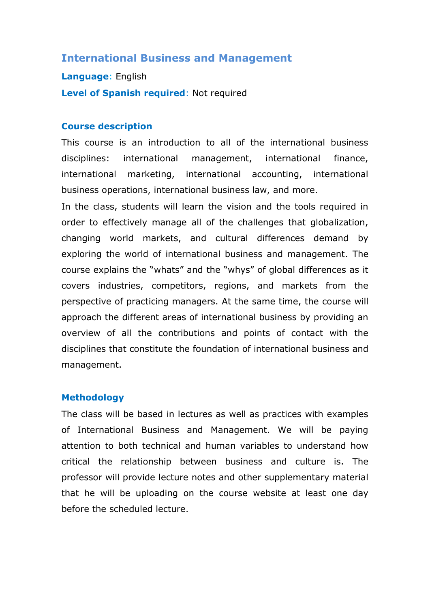## **International Business and Management**

**Language**: English **Level of Spanish required**: Not required

#### **Course description**

This course is an introduction to all of the international business disciplines: international management, international finance, international marketing, international accounting, international business operations, international business law, and more.

In the class, students will learn the vision and the tools required in order to effectively manage all of the challenges that globalization, changing world markets, and cultural differences demand by exploring the world of international business and management. The course explains the "whats" and the "whys" of global differences as it covers industries, competitors, regions, and markets from the perspective of practicing managers. At the same time, the course will approach the different areas of international business by providing an overview of all the contributions and points of contact with the disciplines that constitute the foundation of international business and management.

#### **Methodology**

The class will be based in lectures as well as practices with examples of International Business and Management. We will be paying attention to both technical and human variables to understand how critical the relationship between business and culture is. The professor will provide lecture notes and other supplementary material that he will be uploading on the course website at least one day before the scheduled lecture.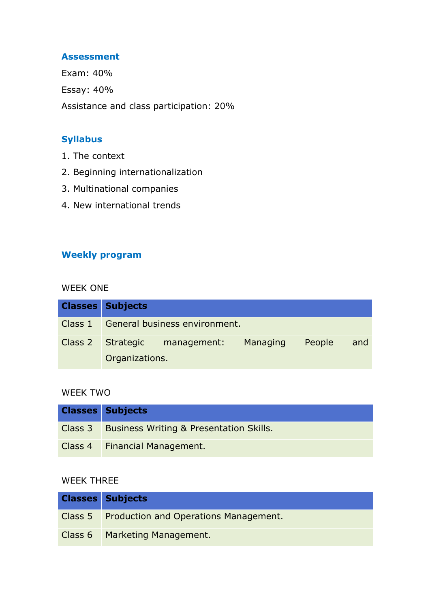#### **Assessment**

Exam: 40% Essay: 40% Assistance and class participation: 20%

## **Syllabus**

- 1. The context
- 2. Beginning internationalization
- 3. Multinational companies
- 4. New international trends

## **Weekly program**

#### WEEK ONE

| <b>Classes Subjects</b> |                                       |          |        |     |
|-------------------------|---------------------------------------|----------|--------|-----|
|                         | Class 1 General business environment. |          |        |     |
| Organizations.          | Class 2 Strategic management:         | Managing | People | and |

### WEEK TWO

| <b>Classes Subjects</b>                           |
|---------------------------------------------------|
| Class 3   Business Writing & Presentation Skills. |
| Class 4   Financial Management.                   |

### WEEK THREE

| <b>Classes Subjects</b>                       |
|-----------------------------------------------|
| Class 5 Production and Operations Management. |
| Class 6   Marketing Management.               |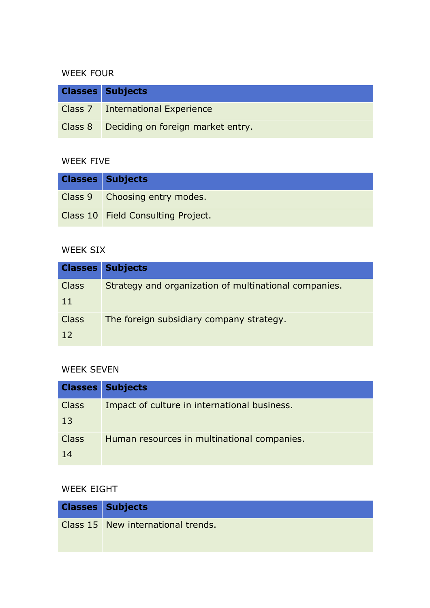## WEEK FOUR

| <b>Classes Subjects</b>                   |
|-------------------------------------------|
| Class 7 International Experience          |
| Class 8 Deciding on foreign market entry. |

#### WEEK FIVE

| <b>Classes Subjects</b>            |
|------------------------------------|
| Class 9 Choosing entry modes.      |
| Class 10 Field Consulting Project. |

## WEEK SIX

|              | <b>Classes Subjects</b>                               |
|--------------|-------------------------------------------------------|
| <b>Class</b> | Strategy and organization of multinational companies. |
| 11           |                                                       |
| <b>Class</b> | The foreign subsidiary company strategy.              |
| 12           |                                                       |

# WEEK SEVEN

|                    | <b>Classes Subjects</b>                      |
|--------------------|----------------------------------------------|
| <b>Class</b><br>13 | Impact of culture in international business. |
| <b>Class</b><br>14 | Human resources in multinational companies.  |

## WEEK EIGHT

| <b>Classes Subjects</b>            |
|------------------------------------|
| Class 15 New international trends. |
|                                    |